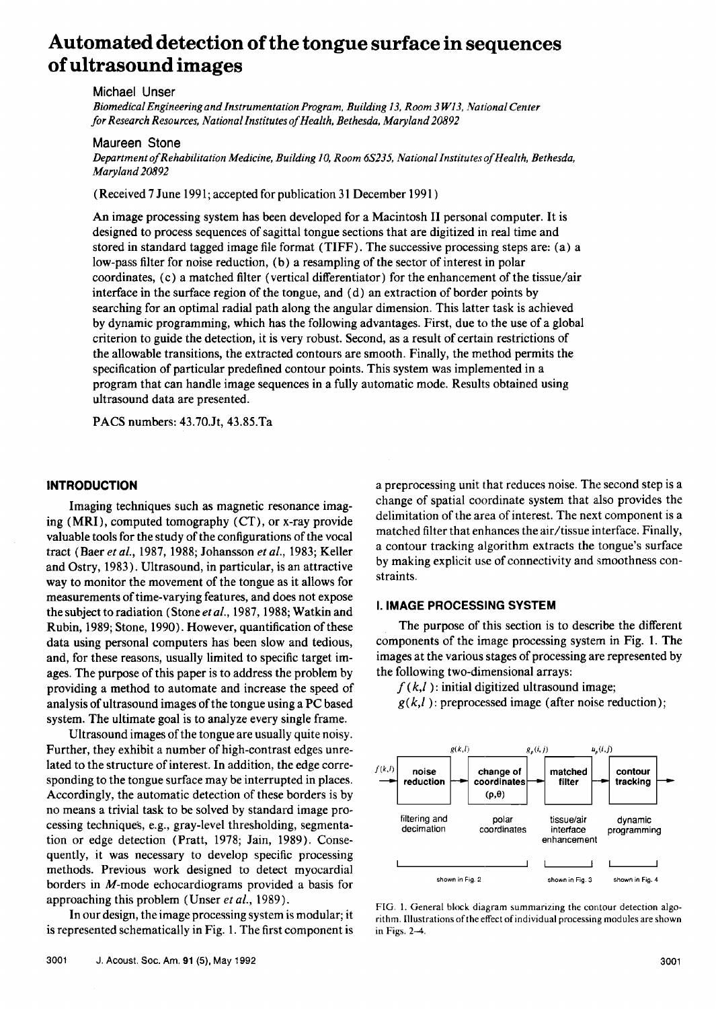# **Automated detection of the tongue surface in sequences of ultrasound images**

**Michael Unser** 

**Biomedical Engineering and Instrumentation Program, Building 13, Room 3 W13, National Center for Research Resources, National Institutes of Health, Bethesda, Maryland 20892** 

## **Maureen Stone**

Department of Rehabilitation Medicine, Building 10, Room 6S235, National Institutes of Health, Bethesda, **Maryland20892** 

**(Received 7 June 1991; accepted for publication 31 December 1991 )** 

**An image processing system has been developed for a Macintosh II personal computer. It is designed to process sequences of sagittal tongue sections that are digitized in real time and stored in standard tagged image file format (TIFF). The successive processing steps are: (a) a low-pass filter for noise reduction, (b) a resampling of the sector of interest in polar coordinates, (c) a matched filter (vertical differentiator) for the enhancement of the tissue/air interface in the surface region of the tongue, and (d) an extraction of border points by searching for an optimal radial path along the angular dimension. This latter task is achieved by dynamic programming, which has the following advantages. First, due to the use of a global criterion to guide the detection, it is very robust. Second, as a result of certain restrictions of the allowable transitions, the extracted contours are smooth. Finally, the method permits the specification of particular predefined contour points. This system was implemented in a program that can handle image sequences in a fully automatic mode. Results obtained using ultrasound data are presented.** 

**PACS numbers: 43.70.Jt, 43.85.Ta** 

## **INTRODUCTION**

Imaging techniques such as magnetic resonance imag**ing (MRI), computed tomography (CT), or x-ray provide valuable tools for the study of the configurations of the vocal tract (Baer et al., 1987, 1988; Johansson et al., 1983; Keller and Ostry, 1983). Ultrasound, in particular, is an attractive way to monitor the movement of the tongue as it allows for measurements of time-varying features, and does not expose the subject to radiation (Stone et al., 1987, 1988; Watkin and Rubin, 1989; Stone, 1990). However, quantification of these data using personal computers has been slow and tedious, and, for these reasons, usually limited to specific target images. The purpose of this paper is to address the problem by providing a method to automate and increase the speed of analysis of ultrasound images of the tongue using a PC based system. The ultimate goal is to analyze every single frame.** 

**Ultrasound images of the tongue are usually quite noisy. Further, they exhibit a number of high-contrast edges unrelated to the structure of interest. In addition, the edge corresponding to the tongue surface may be interrupted in places. Accordingly, the automatic detection of these borders is by no means a trivial task to be solved by standard image processing technique's, e.g., gray-level thresholding, segmentation or edge detection (Pratt, 1978; Jain, 1989). Consequently, it was necessary to develop specific processing methods. Previous work designed to detect myocardial borders in M-mode echocardiograms provided a basis for approaching this problem (Unser et al., 1989).** 

**In our design, the image processing system is modular; it is represented schematically in Fig. 1. The first component is**  **a preprocessing unit that reduces noise. The second step is a**  change of spatial coordinate system that also provides the **delimitation of the area of interest. The next component is a matched filter that enhances the air/tissue interface. Finally, a contour tracking algorithm extracts the tongue's surface**  by making explicit use of connectivity and smoothness con**straints.** 

#### **I. IMAGE PROCESSING SYSTEM**

**The purpose of this section is to describe the different components of the image processing system in Fig. 1. The images at the various stages of processing are represented by the following two-dimensional arrays:** 

**f (k,l): initial digitized ultrasound image;** 

**g(k,l ): preprocessed image (after noise reduction);** 



FIG. 1. General block diagram summarizing the contour detection algo**rithm. Illustrations of the effect of individual processing modules are shown in Figs. 2-4.**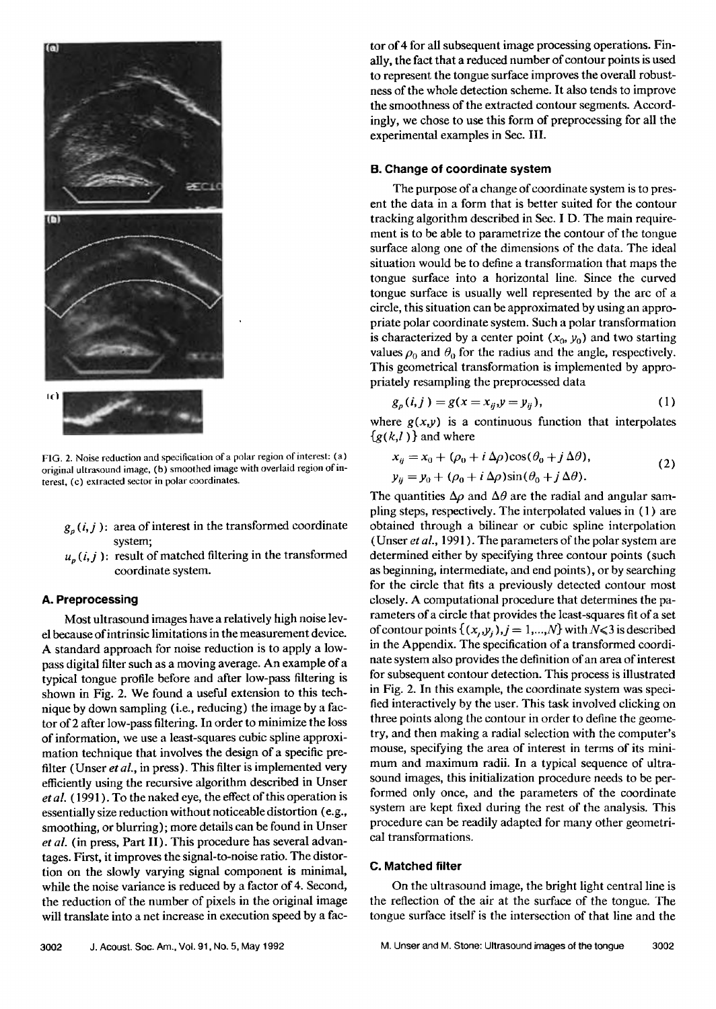

**FIG. 2. Noise reduction and specification of a polar region of interest: (a) original ultrasound image, (b) smoothed image with overlaid region of interest, (c) extracted sector in polar coordinates.** 

- $g_n(i, j)$ : area of interest in the transformed coordinate **system;**
- $u_p(i, j)$ : result of matched filtering in the transformed **coordinate system.**

## **A. Preprocessing**

**Most ultrasound images have a relatively high noise level because of intrinsic limitations in the measurement device. A standard approach for noise reduction is to apply a lowpass digital filter such as a moving average. An example of a typical tongue profile before and after low-pass filtering is shown in Fig. 2. We found a useful extension to this technique by down sampling (i.e., reducing) the image by a factor of 2 after low-pass filtering. In order to minimize the loss of information, we use a least-squares cubic spline approximation technique that involves the design of a specific prefilter (Unser et al., in press). This filter is implemented very efficiently using the recursire algorithm described in Unser etal. ( 1991 ). To the naked eye, the effect of this operation is essentially size reduction without noticeable distortion (e.g., smoothing, or blurring); more details can be found in Unser et al. (in press, Part II). This procedure has several advantages. First, it improves the signal-to-noise ratio. The distortion on the slowly varying signal component is minimal, while the noise variance is reduced by a factor of 4. Second, the reduction of the number of pixels in the original image will translate into a net increase in execution speed by a fac-** **tor of 4 for all subsequent image processing operations. Finally, the fact that a reduced number of contour points is used to represent the tongue surface improves the overall robustness of the whole detection scheme. It also tends to improve the smoothness of the extracted contour segments. Accordingly, we chose to use this form of preprocessing for all the experimental examples in Sec. III.** 

## **B. Change of coordinate system**

**The purpose of a change of coordinate system is to present the data in a form that is better suited for the contour tracking algorithm described in Sec. I D. The main requirement is to be able to parametrize the contour of the tongue surface along one of the dimensions of the data. The ideal situation would be to define a transformation that maps the tongue surface into a horizontal line. Since the curved tongue surface is usually well represented by the arc of a circle, this situation can be approximated by using an appropriate polar coordinate system. Such a polar transformation**  is characterized by a center point  $(x_0, y_0)$  and two starting values  $\rho_0$  and  $\theta_0$  for the radius and the angle, respectively. **This geometrical transformation is implemented by appropriately resampling the preprocessed data** 

$$
g_p(i,j) = g(x = x_{ij}, y = y_{ij}),
$$
 (1)

where  $g(x,y)$  is a continuous function that interpolates  ${g(k,l)}$  and where

$$
x_{ij} = x_0 + (\rho_0 + i \Delta \rho) \cos(\theta_0 + j \Delta \theta),
$$
  
\n
$$
y_{ij} = y_0 + (\rho_0 + i \Delta \rho) \sin(\theta_0 + j \Delta \theta).
$$
 (2)

The quantities  $\Delta \rho$  and  $\Delta \theta$  are the radial and angular sam**pling steps, respectively. The interpolated values in ( 1 ) are obtained through a bilinear or cubic spline interpolation (Unser et al., 1991 ). The parameters of the polar system are determined either by specifying three contour points (such as beginning, intermediate, and end points), or by searching for the circle that fits a previously detected contour most closely. A computational procedure that determines the parameters of a circle that provides the least-squares fit of a set**  of contour points  $\{(x_i,y_i),j=1,...,N\}$  with  $N\leq 3$  is described **in the Appendix. The specification of a transformed coordinate system also provides the definition of an area of interest for subsequent contour detection. This process is illustrated in Fig. 2. In this example, the coordinate system was specified interactively by the user. This task involved clicking on three points along the contour in order to define the geometry, and then making a radial selection with the computer's mouse, specifying the area of interest in terms of its minimum and maximum radii. In a typical sequence of ultrasound images, this initialization procedure needs to be performed only once, and the parameters of the coordinate system are kept fixed during the rest of the analysis. This procedure can be readily adapted for many other geometrical transformations.** 

#### **C. Matched filter**

**On the ultrasound image, the bright light central line is the reflection of the air at the surface of the tongue. The tongue surface itself is the intersection of that line and the**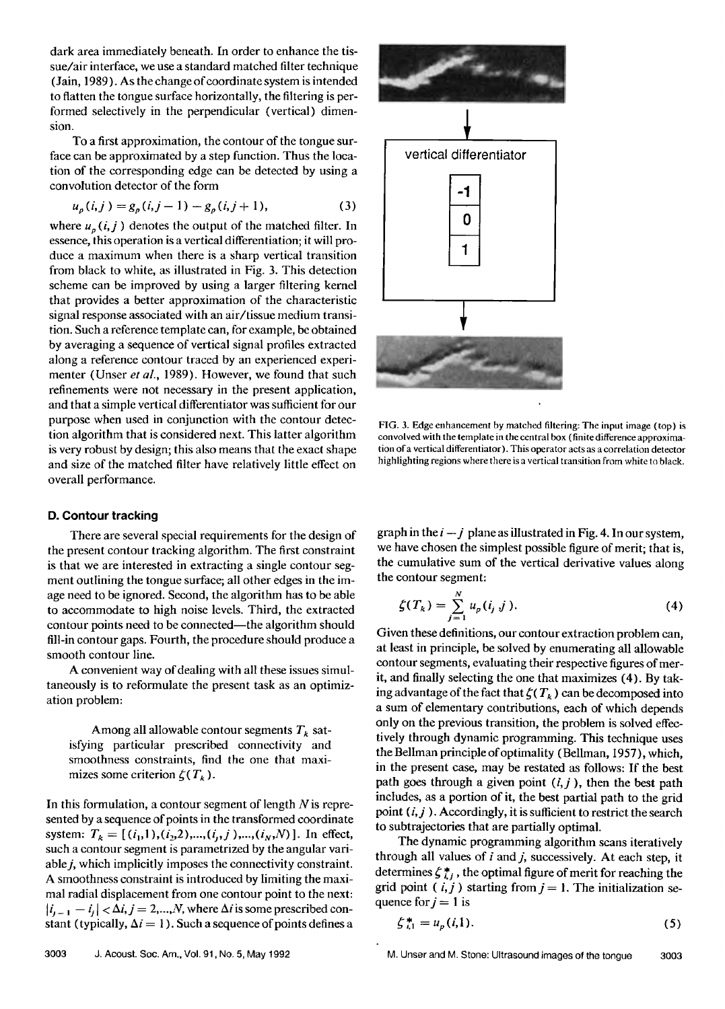**dark area immediately beneath. In order to enhance the tissue/air interface, we use a standard matched filter technique (Jain, 1989 ). As the change of coordinate system is intended to flatten the tongue surface horizontally, the filtering is performed selectively in the perpendicular (vertical) dimension.** 

**To a first approximation, the contour of the tongue surface can be approximated by a step function. Thus the location of the corresponding edge can be detected by using a convolution detector of the form** 

$$
u_p(i,j) = g_p(i,j-1) - g_p(i,j+1),
$$
 (3)

where  $u_p(i, j)$  denotes the output of the matched filter. In **essence, this operation is a vertical differentiation; it will produce a maximum when there is a sharp vertical transition from black to white, as illustrated in Fig. 3. This detection scheme can be improved by using a larger filtering kernel that provides a better approximation of the characteristic signal response associated with an air/tissue medium transition. Such a reference template can, for example, be obtained by averaging a sequence of vertical signal profiles extracted along a reference contour traced by an experienced experimenter (Unser et al., 1989). However, we found that such refinements were not necessary in the present application, and that a simple vertical differentiator was sufficient for our purpose when used in conjunction with the contour detection algorithm that is considered next. This latter algorithm is very robust by design; this also means that the exact shape and size of the matched filter have relatively little effect on overall performance.** 

## **D. Contour tracking**

**There are several special requirements for the design of the present contour tracking algorithm. The first constraint is that we are interested in extracting a single contour segment outlining the tongue surface; all other edges in the image need to be ignored. Second, the algorithm has to be able to accommodate to high noise levels. Third, the extracted contour points need to be connected--the algorithm should fill-in contour gaps. Fourth, the procedure should produce a smooth contour line.** 

**A convenient way of dealing with all these issues simultaneously is to reformulate the present task as an optimization problem:** 

Among all allowable contour segments  $T_k$  sat**isfying particular prescribed connectivity and smoothness constraints, find the one that maxi**mizes some criterion  $\zeta(T_k)$ .

**In this formulation, a contour segment of length N is represented by a sequence of points in the transformed coordinate**  system:  $T_k = [(i_1,1), (i_2,2), ..., (i_j, j), ..., (i_N,N)]$ . In effect, **such a contour segment is parametrized by the angular variable j, which implicitly imposes the connectivity constraint. A smoothness constraint is introduced by limiting the maximal radial displacement from one contour point to the next:**   $|i_{j-1} - i_j| < \Delta i, j = 2,...,N$ , where  $\Delta i$  is some prescribed constant (typically,  $\Delta i = 1$ ). Such a sequence of points defines a



**FIG. 3. Edge enhancement by matched filtering: The input image (top) is convolved with the template in the central box (finite difference approximation of a vertical differentiator). This operator acts as a correlation detector highlighting regions where there is a vertical transition from white to black.** 

graph in the  $i - j$  plane as illustrated in Fig. 4. In our system, **we have chosen the simplest possible figure of merit; that is, the cumulative sum of the vertical derivative values along the contour segment:** 

$$
\zeta(T_k) = \sum_{j=1}^{N} u_p(i_j \; j). \tag{4}
$$

**Given these definitions, our contour extraction problem can, at least in principle, be solved by enumerating all allowable contour segments, evaluating their respective figures of merit, and finally selecting the one that maximizes (4). By tak**ing advantage of the fact that  $\zeta(T_k)$  can be decomposed into **a sum of elementary contributions, each of which depends only on the previous transition, the problem is solved effectively through dynamic programming. This technique uses the Bellman principle of optimality (Bellman, 1957), which, in the present case, may be restated as follows: If the best path goes through a given point (i,j), then the best path includes, as a portion of it, the best partial path to the grid point (Lj). Accordingly, it is sufficient to restrict the search to subtrajectories that are partially optimal.** 

**The dynamic programming algorithm scans iteratively through all values of i and j, successively. At each step, it**  determines  $\zeta_{i,j}^*$ , the optimal figure of merit for reaching the grid point  $(i, j)$  starting from  $j = 1$ . The initialization sequence for  $j = 1$  is

$$
\zeta_{i,1}^* = u_p(i,1). \tag{5}
$$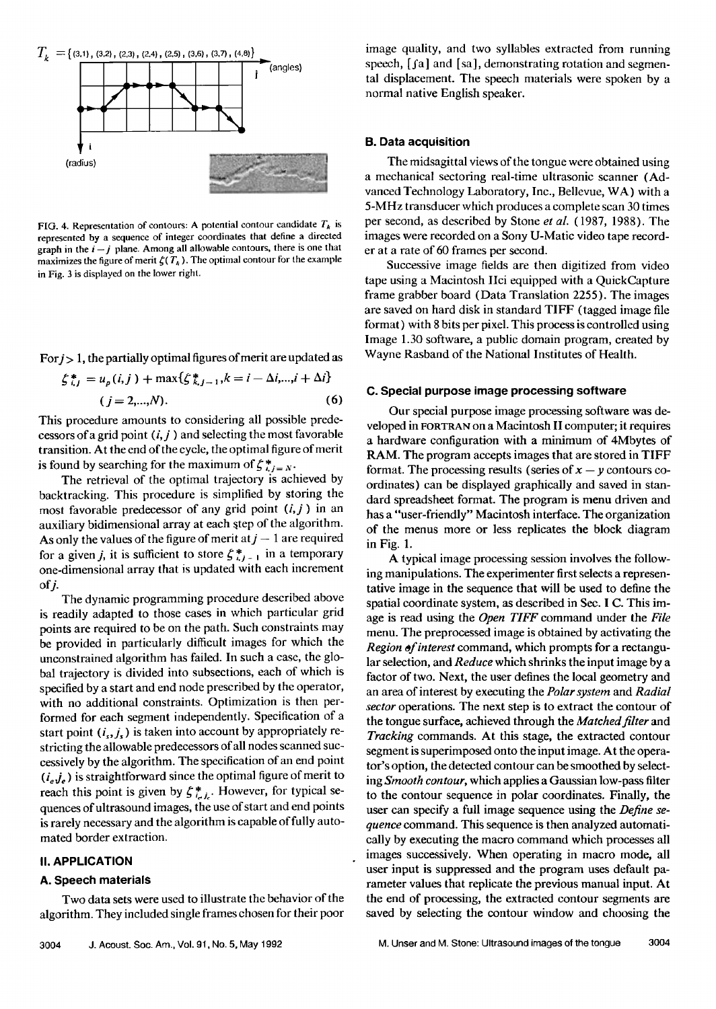

**FIG. 4. Representation of contours: A potential contour candidate**  $T_k$  **is represented by a sequence of integer coordinates that define a directed**  graph in the  $i - j$  plane. Among all allowable contours, there is one that maximizes the figure of merit  $\zeta(T_k)$ . The optimal contour for the example **in Fig. 3 is displayed on the lower right.** 

**For j> 1, the partially optimal figures of merit are updated as** 

$$
\zeta_{i,j}^* = u_p(i,j) + \max\{\zeta_{k,j-1}^*, k = i - \Delta i, \dots, i + \Delta i\}
$$
  
(j = 2,...,N). (6)

**This procedure amounts to considering all possible predecessors of a grid point (i,j) and selecting the most favorable transition. At the end of the cycle, the optimal figure of merit**  is found by searching for the maximum of  $\zeta^*_{i,j=N}$ .

**The retrieval of the optimal trajectory is achieved by backtracking. This procedure is simplified by storing the most favorable predecessor of any grid point (i,j) in an**  auxiliary bidimensional array at each step of the algorithm. As only the values of the figure of merit at  $j-1$  are required for a given *i*, it is sufficient to store  $f_{i,j+1}^*$  in a temporary one-dimensional array that is updated with each increment  $of$  $i$ .

**The dynamic programming procedure described above is readily adapted to those cases in which particular grid points are required to be on the path. Such constraints may be provided in particularly difficult images for which the unconstrained algorithm has failed. In such a case, the global trajectory is divided into subsections, each of which is specified by a start and end node prescribed by the operator, with no additional constraints. Optimization is then per**formed for each segment independently. Specification of a start point  $(i_s, j_s)$  is taken into account by appropriately restricting the allowable predecessors of all nodes scanned successively by the algorithm. The specification of an end point **(ie,je) is straightforward since the optimal figure of merit to**  reach this point is given by  $\xi_{i,j}^*$ . However, for typical se**quences ofultrasound images, the use of start and end points is rarely necessary and the algorithm is capable of fully automated border extraction.** 

## **II. APPLICATION**

#### **A. Speech materials**

**Two data sets were used to illustrate the behavior of the algorithm. They included single frames chosen for their poor**  **image quality, and two syllables extracted from running**  speech, [fa] and [sa], demonstrating rotation and segmen**tal displacement. The speech materials were spoken by a normal native English speaker.** 

#### **B. Data acquisition**

**The midsagittal views of the tongue were obtained using a mechanical sectoring real-time ultrasonic scanner (Advanced Technology Laboratory, Inc., Bellevue, WA) with a 5-MHz transducer which produces a complete scan 30 times per second, as described by Stone et al. ( 1987, 1988). The images were recorded on a Sony U-Matic video tape recorder at a rate of 60 frames per second.** 

**Successive image fields are then digitized from video tape using a Macintosh Ilci equipped with a QuickCapture frame grabber board (Data Translation 2255). The images are saved on hard disk in standard TIFF (tagged image file format) with 8 bits per pixel. This process is controlled using Image 1.30 software, a public domain program, created by Wayne Rasband of the National Institutes of Health.** 

#### **C. Special purpose image processing software**

**Our special purpose image processing software was developed in FORTRAN on a Macintosh II computer; it requires a hardware configuration with a minimum of 4Mbytes of RAM. The program accepts images that are stored in TIFF format. The processing results (series of**  $x - y$  **contours coordinates) can be displayed graphically and saved in standard spreadsheet format. The program is menu driven and has a "user-friendly" Macintosh interface. The organization of the menus more or less replicates the block diagram in Fig. 1.** 

**A typical image processing session involves the following manipulations. The experimenter first selects a representative image in the sequence that will be used to define the**  spatial coordinate system, as described in Sec. **I C.** This im**age is read using the Open TIFF command under the File menu. The preprocessed image is obtained by activating the Region of interest command, which prompts for a rectangular selection, and Reduce which shrinks the input image by a factor of two. Next, the user defines the local geometry and an area of interest by executing the Polar system and Radial sector operations. The next step is to extract the contour of the tongue surface, achieved through the Matched filter and Tracking commands. At this stage, the extracted contour segment is superimposed onto the input image. At the operator's option, the detected contour can be smoothed by selecting Smooth contour, which applies a Gaussian low-pass filter to the contour sequence in polar coordinates. Finally, the user can specify a full image sequence using the Define se**quence command. This sequence is then analyzed automati**cally by executing the macro command which processes all images successively. When operating in macro mode, all user input is suppressed and the program uses default parameter values that replicate the previous manual input. At the end of processing, the extracted contour segments are saved by selecting the contour window and choosing the**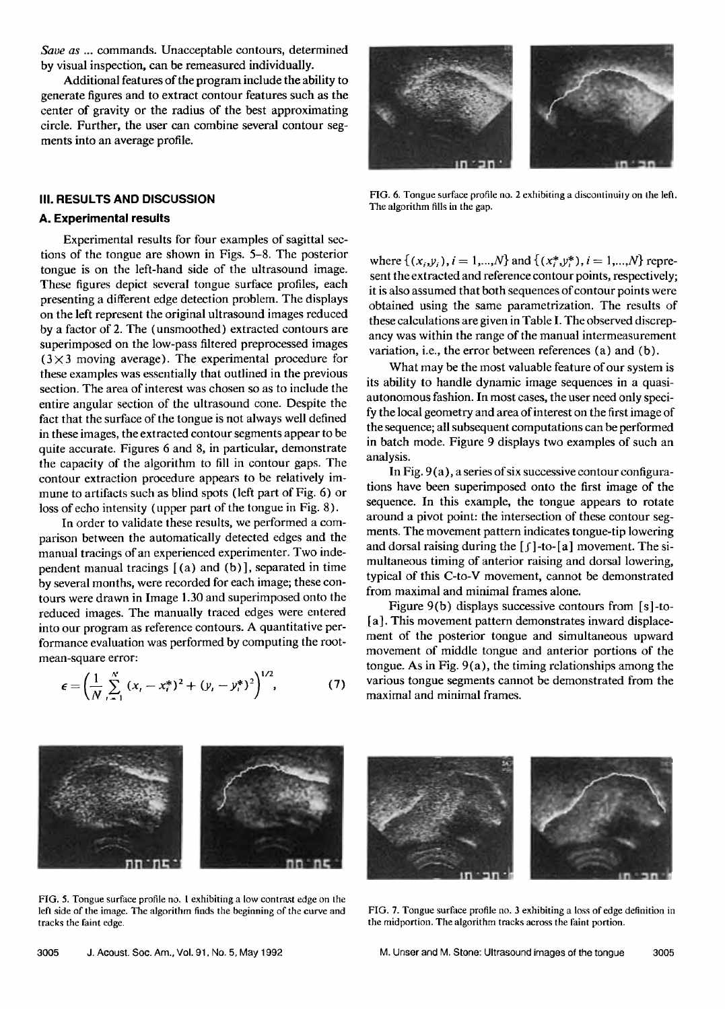**Save as ... commands. Unacceptable contours, determined by visual inspection, can be remeasured individually.** 

**Additional features of the program include the ability to generate figures and to extract contour features such as the center of gravity or the radius of the best approximating circle. Further, the user can combine several contour segments into an average profile.** 

#### **III. RESULTS AND DISCUSSION**

#### **A. Experimental results**

**Experimental results for four examples of sagittal sections of the tongue are shown in Figs. 5-8. The posterior tongue is on the left-hand side of the ultrasound image. These figures depict several tongue surface profiles, each presenting a different edge detection problem. The displays on the left represent the original ultrasound images reduced by a factor of 2. The (unsmoothed) extracted contours are superimposed on the low-pass filtered preprocessed images (3X3 moving average). The experimental procedure for these examples was essentially that outlined in the previous section. The area of interest was chosen so as to include the entire angular section of the ultrasound cone. Despite the fact that the surface of the tongue is not always well defined in these images, the extracted contour segments appear to be quite accurate. Figures 6 and 8, in particular, demonstrate the capacity of the algorithm to fill in contour gaps. The contour extraction procedure appears to be relatively immune to artifacts such as blind spots (left part of Fig. 6) or loss of echo intensity (upper part of the tongue in Fig. 8).** 

**In order to validate these results, we performed a comparison between the automatically detected edges and the manual tracings of an experienced experimenter. Two independent manual tracings [ (a) and (b)], separated in time by several months, were recorded for each image; these contours were drawn in Image 1.30 and superimposed onto the reduced images. The manually traced edges were entered into our program as reference contours. A quantitative performance evaluation was performed by computing the rootmean-square error:** 

$$
\epsilon = \left(\frac{1}{N} \sum_{i=1}^{N} (x_i - x_i^*)^2 + (y_i - y_i^*)^2\right)^{1/2}, \tag{7}
$$



**FIG. 6. Tongue surface profile no. 2 exhibiting a discontinuity on the left. The algorithm fills in the gap.** 

where  $\{(x_i, y_i), i = 1, ..., N\}$  and  $\{(x_i^*, y_i^*), i = 1, ..., N\}$  repre**sent the extracted and reference contour points, respectively; it is also assumed that both sequences of contour points were obtained using the same parametrization. The results of these calculations are given in Table I. The observed discrepancy was within the range of the manual intermeasurement variation, i.e., the error between references (a) and (b).** 

**What may be the most valuable feature of our system is its ability to handle dynamic image sequences in a quasiautonomous fashion. In most cases, the user need only specify the local geometry and area of interest on the first image of the sequence; all subsequent computations can be performed in batch mode. Figure 9 displays two examples of such an analysis.** 

**In Fig. 9 (a), a series of six successive contour configurations have been superimposed onto the first image of the sequence. In this example, the tongue appears to rotate around a pivot point: the intersection of these contour segments. The movement pattern indicates tongue-tip lowering**  and dorsal raising during the [f]-to-[a] movement. The si**multaneous timing of anterior raising and dorsal lowering, typical of this C-to-V movement, cannot be demonstrated from maximal and minimal frames alone.** 

**Figure 9(b) displays successive contours from [s]-to- [a]. This movement pattern demonstrates inward displacement of the posterior tongue and simultaneous upward movement of middle tongue and anterior portions of the tongue. As in Fig. 9(a), the timing relationships among the various tongue segments cannot be demonstrated from the maximal and minimal frames.** 



**FIG. 5. Tongue surface profile no. I exhibiting a low contrast edge on the left side of the image. The algorithm finds the beginning of the curve and tracks the faint edge.** 

**FIG. 7. Tongue surface profile no. 3 exhibiting a loss of edge definition in the midportion. The algorithm tracks across the faint portion.**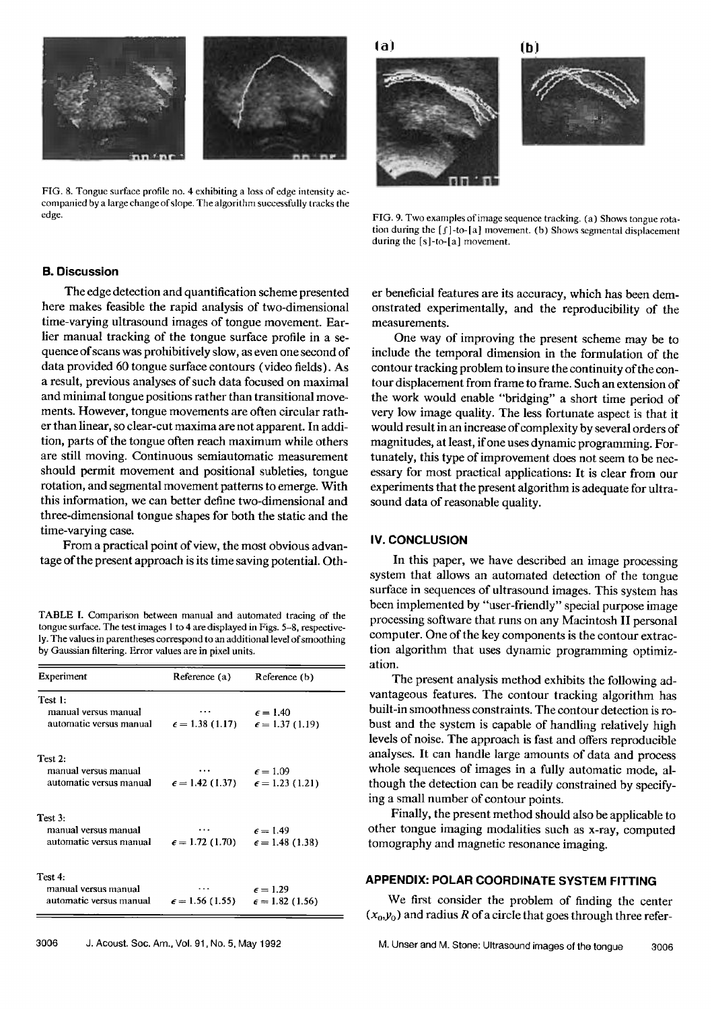

**FIG. 8. Tongue surface profile no. 4 exhibiting a loss of edge intensity accompanied by a large change of slope. The algorithm successfully tracks the edge.** 



**! !** 



**FIG. 9. Two examples of image sequence tracking. (a) Shows tongue rota**tion during the [f]-to-[a] movement. (b) Shows segmental displacement **during the [s]-to-[a] movement.** 

## **B. Discussion**

**The edge detection and quantificafion scheme presented here makes feasible the rapid analysis of two-dimensional time-varying ultrasound images of tongue movement. Earlier manual tracking of the tongue surface profile in a sequence of scans was prohibitively slow, as even one second of data provided 60 tongue surface contours (video fields). As a result, previous analyses of such data focused on maximal and minimal tongue positions rather than transitional movements. However, tongue movements are often circular rather than linear, so clear-cut maxima are not apparent. In addition, parts of the tongue often reach maximum while others are still moving. Continuous semiautomatic measurement should permit movement and positional subleties, tongue rotation, and segmental movement patterns to emerge. With this information, we can better define two-dimensional and three-dimensional tongue shapes for both the static and the time-varying case.** 

**From a practical point of view, the most obvious advantage of the present approach is its time saving potential. Oth-**

**TABLE I. Comparison between manual and automated tracing of the tongue surface. The test images I to 4 are displayed in Figs. 5-8, respectively. The values in parentheses correspond toan additional level of smoothing by Gaussian filtering. Error values are in pixel units.** 

| Experiment                                                                | Reference (a)                                     | Reference (b)                                   |
|---------------------------------------------------------------------------|---------------------------------------------------|-------------------------------------------------|
| Test 1:                                                                   |                                                   |                                                 |
| manual versus manual                                                      |                                                   | $\epsilon = 1.40$                               |
| automatic versus manual                                                   |                                                   | $\epsilon = 1.38(1.17)$ $\epsilon = 1.37(1.19)$ |
| Test 2:                                                                   |                                                   |                                                 |
| manual versus manual                                                      |                                                   | $\epsilon = 1.09$                               |
| automatic versus manual $\epsilon = 1.42$ (1.37) $\epsilon = 1.23$ (1.21) |                                                   |                                                 |
| Test 3:                                                                   |                                                   |                                                 |
| manual versus manual                                                      |                                                   | $\epsilon = 1.49$                               |
| automatic versus manual                                                   | $\epsilon = 1.72$ (1.70) $\epsilon = 1.48$ (1.38) |                                                 |
| Test 4:                                                                   |                                                   |                                                 |
| manual versus manual                                                      |                                                   | $\epsilon = 1.29$                               |
| automatic versus manual                                                   | $\epsilon = 1.56$ (1.55) $\epsilon = 1.82$ (1.56) |                                                 |

**er beneficial features are its accuracy, which has been demonstrated experimentally, and the reproducibility of the measurements.** 

**One way of improving the present scheme may be to include the temporal dimension in the formulation of the contour tracking problem to insure the continuity of the contour displacement from frame to frame. Such an extension of the work would enable "bridging" a short time period of very low image quality. The less fortunate aspect is that it would result in an increase of complexity by several orders of magnitudes, at least, if one uses dynamic programming. Fortunately, this type of improvement does not seem to be nec**essary for most practical applications: It is clear from our **experiments that the present algorithm is adequate for ultrasound data of reasonable quality.** 

## **IV. CONCLUSION**

**In this paper, we have described an image processing system that allows an automated detection of the tongue surface in sequences of ultrasound images. This system has been implemented by "user-friendly" special purpose image**  processing software that runs on any Macintosh II personal **computer. One of the key components is the contour extraction algorithm that uses dynamic programming optimization.** 

**The present analysis method exhibits the following advantageous features. The contour tracking algorithm has built-in smoothness constraints. The contour detection is robust and the system is capable of handling relatively high levels of noise. The approach is fast and offers reproducible**  analyses. It can handle large amounts of data and process **whole sequences of images in a fully automatic mode, although the detection can be readily constrained by specifying a small number of contour points.** 

**Finally, the present method should also be applicable to other tongue imaging modalities such as x-ray, computed tomography and magnetic resonance imaging.** 

## **APPENDIX: POLAR COORDINATE SYSTEM FITTING**

**We first consider the problem of finding the center**   $(x_0, y_0)$  and radius R of a circle that goes through three refer